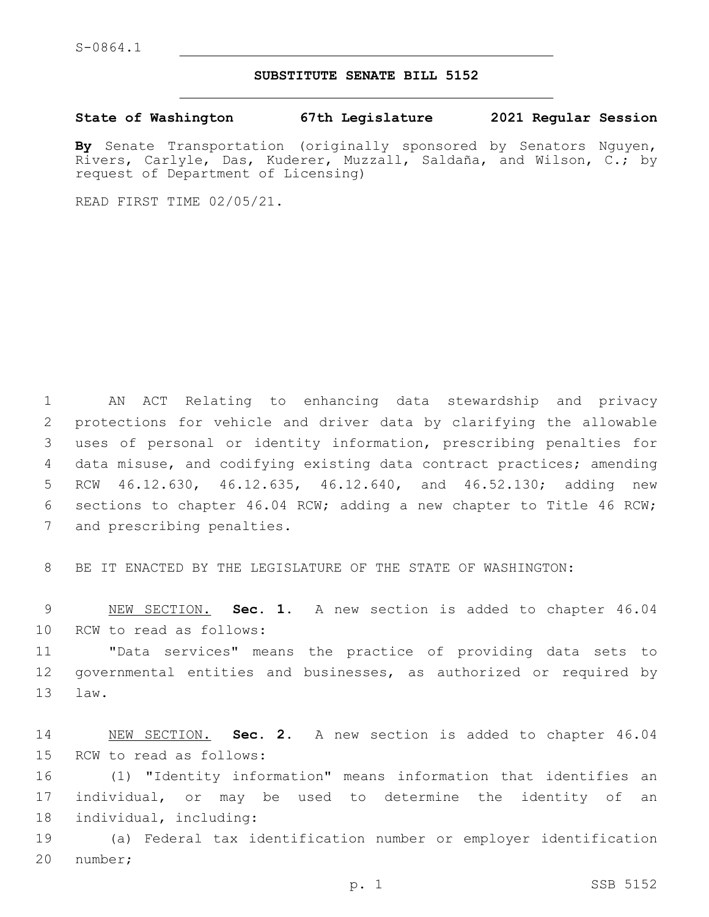S-0864.1

## **SUBSTITUTE SENATE BILL 5152**

**State of Washington 67th Legislature 2021 Regular Session**

**By** Senate Transportation (originally sponsored by Senators Nguyen, Rivers, Carlyle, Das, Kuderer, Muzzall, Saldaña, and Wilson, C.; by request of Department of Licensing)

READ FIRST TIME 02/05/21.

 AN ACT Relating to enhancing data stewardship and privacy protections for vehicle and driver data by clarifying the allowable uses of personal or identity information, prescribing penalties for data misuse, and codifying existing data contract practices; amending RCW 46.12.630, 46.12.635, 46.12.640, and 46.52.130; adding new sections to chapter 46.04 RCW; adding a new chapter to Title 46 RCW; 7 and prescribing penalties.

8 BE IT ENACTED BY THE LEGISLATURE OF THE STATE OF WASHINGTON:

9 NEW SECTION. **Sec. 1.** A new section is added to chapter 46.04 10 RCW to read as follows:

11 "Data services" means the practice of providing data sets to 12 governmental entities and businesses, as authorized or required by 13 law.

14 NEW SECTION. **Sec. 2.** A new section is added to chapter 46.04 15 RCW to read as follows:

16 (1) "Identity information" means information that identifies an 17 individual, or may be used to determine the identity of an 18 individual, including:

19 (a) Federal tax identification number or employer identification 20 number;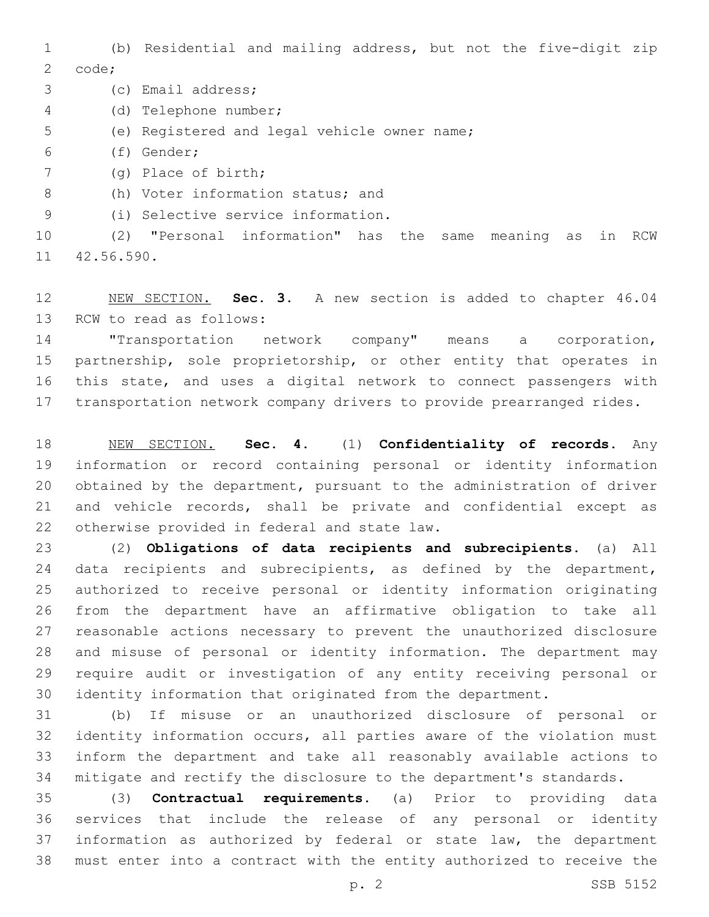(b) Residential and mailing address, but not the five-digit zip 2 code;

3 (c) Email address;

(d) Telephone number;4

- 5 (e) Registered and legal vehicle owner name;
- (f) Gender;6
- (g) Place of birth;7

8 (h) Voter information status; and

(i) Selective service information.9

 (2) "Personal information" has the same meaning as in RCW 11 42.56.590.

 NEW SECTION. **Sec. 3.** A new section is added to chapter 46.04 13 RCW to read as follows:

 "Transportation network company" means a corporation, partnership, sole proprietorship, or other entity that operates in this state, and uses a digital network to connect passengers with transportation network company drivers to provide prearranged rides.

 NEW SECTION. **Sec. 4.** (1) **Confidentiality of records.** Any information or record containing personal or identity information obtained by the department, pursuant to the administration of driver and vehicle records, shall be private and confidential except as otherwise provided in federal and state law.

 (2) **Obligations of data recipients and subrecipients.** (a) All 24 data recipients and subrecipients, as defined by the department, authorized to receive personal or identity information originating from the department have an affirmative obligation to take all reasonable actions necessary to prevent the unauthorized disclosure and misuse of personal or identity information. The department may require audit or investigation of any entity receiving personal or identity information that originated from the department.

 (b) If misuse or an unauthorized disclosure of personal or identity information occurs, all parties aware of the violation must inform the department and take all reasonably available actions to mitigate and rectify the disclosure to the department's standards.

 (3) **Contractual requirements.** (a) Prior to providing data services that include the release of any personal or identity information as authorized by federal or state law, the department must enter into a contract with the entity authorized to receive the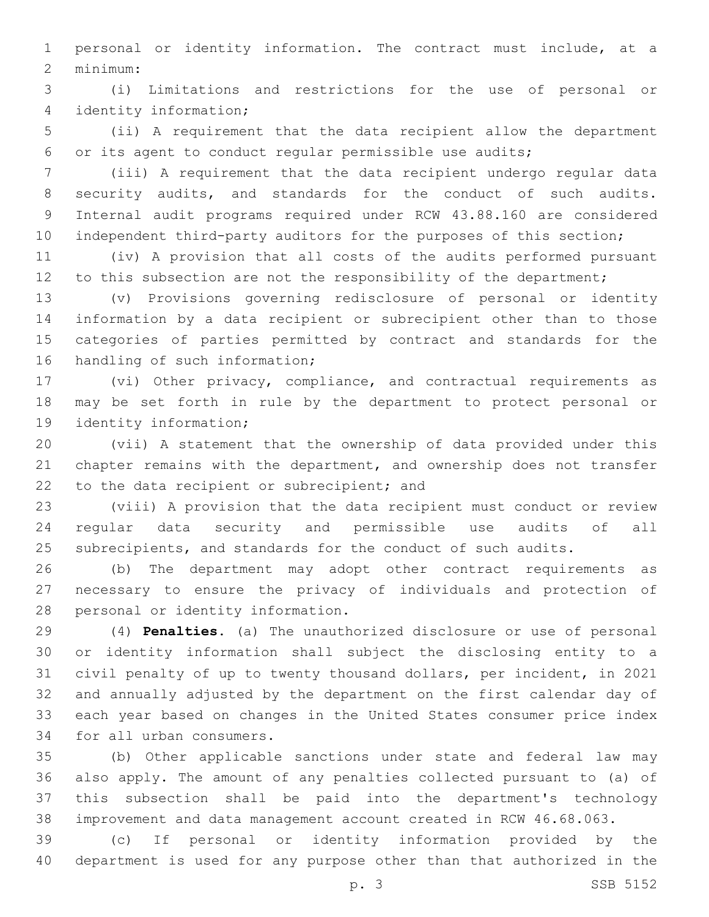personal or identity information. The contract must include, at a minimum:2

 (i) Limitations and restrictions for the use of personal or identity information;4

 (ii) A requirement that the data recipient allow the department or its agent to conduct regular permissible use audits;

 (iii) A requirement that the data recipient undergo regular data security audits, and standards for the conduct of such audits. Internal audit programs required under RCW 43.88.160 are considered 10 independent third-party auditors for the purposes of this section;

 (iv) A provision that all costs of the audits performed pursuant 12 to this subsection are not the responsibility of the department;

 (v) Provisions governing redisclosure of personal or identity information by a data recipient or subrecipient other than to those categories of parties permitted by contract and standards for the 16 handling of such information;

 (vi) Other privacy, compliance, and contractual requirements as may be set forth in rule by the department to protect personal or 19 identity information;

 (vii) A statement that the ownership of data provided under this chapter remains with the department, and ownership does not transfer 22 to the data recipient or subrecipient; and

 (viii) A provision that the data recipient must conduct or review regular data security and permissible use audits of all subrecipients, and standards for the conduct of such audits.

 (b) The department may adopt other contract requirements as necessary to ensure the privacy of individuals and protection of 28 personal or identity information.

 (4) **Penalties.** (a) The unauthorized disclosure or use of personal or identity information shall subject the disclosing entity to a civil penalty of up to twenty thousand dollars, per incident, in 2021 and annually adjusted by the department on the first calendar day of each year based on changes in the United States consumer price index 34 for all urban consumers.

 (b) Other applicable sanctions under state and federal law may also apply. The amount of any penalties collected pursuant to (a) of this subsection shall be paid into the department's technology improvement and data management account created in RCW 46.68.063.

 (c) If personal or identity information provided by the department is used for any purpose other than that authorized in the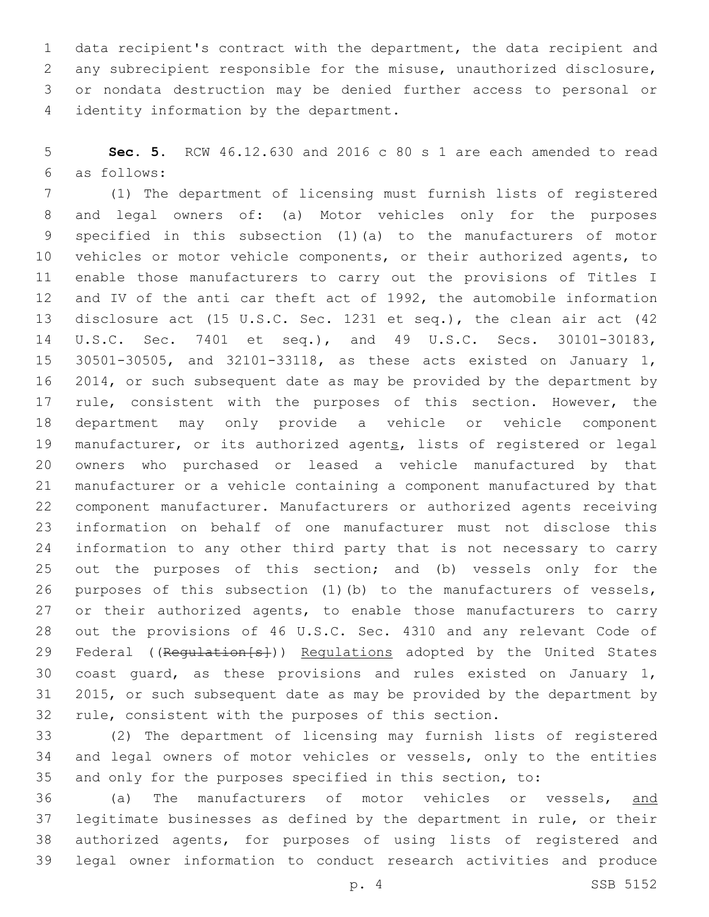data recipient's contract with the department, the data recipient and any subrecipient responsible for the misuse, unauthorized disclosure, or nondata destruction may be denied further access to personal or 4 identity information by the department.

 **Sec. 5.** RCW 46.12.630 and 2016 c 80 s 1 are each amended to read as follows:6

 (1) The department of licensing must furnish lists of registered and legal owners of: (a) Motor vehicles only for the purposes specified in this subsection (1)(a) to the manufacturers of motor vehicles or motor vehicle components, or their authorized agents, to enable those manufacturers to carry out the provisions of Titles I and IV of the anti car theft act of 1992, the automobile information disclosure act (15 U.S.C. Sec. 1231 et seq.), the clean air act (42 U.S.C. Sec. 7401 et seq.), and 49 U.S.C. Secs. 30101-30183, 30501-30505, and 32101-33118, as these acts existed on January 1, 2014, or such subsequent date as may be provided by the department by 17 rule, consistent with the purposes of this section. However, the department may only provide a vehicle or vehicle component 19 manufacturer, or its authorized agents, lists of registered or legal owners who purchased or leased a vehicle manufactured by that manufacturer or a vehicle containing a component manufactured by that component manufacturer. Manufacturers or authorized agents receiving information on behalf of one manufacturer must not disclose this information to any other third party that is not necessary to carry out the purposes of this section; and (b) vessels only for the purposes of this subsection (1)(b) to the manufacturers of vessels, 27 or their authorized agents, to enable those manufacturers to carry out the provisions of 46 U.S.C. Sec. 4310 and any relevant Code of 29 Federal ((Requlation[s])) Requlations adopted by the United States coast guard, as these provisions and rules existed on January 1, 2015, or such subsequent date as may be provided by the department by rule, consistent with the purposes of this section.

 (2) The department of licensing may furnish lists of registered and legal owners of motor vehicles or vessels, only to the entities and only for the purposes specified in this section, to:

 (a) The manufacturers of motor vehicles or vessels, and legitimate businesses as defined by the department in rule, or their authorized agents, for purposes of using lists of registered and legal owner information to conduct research activities and produce

p. 4 SSB 5152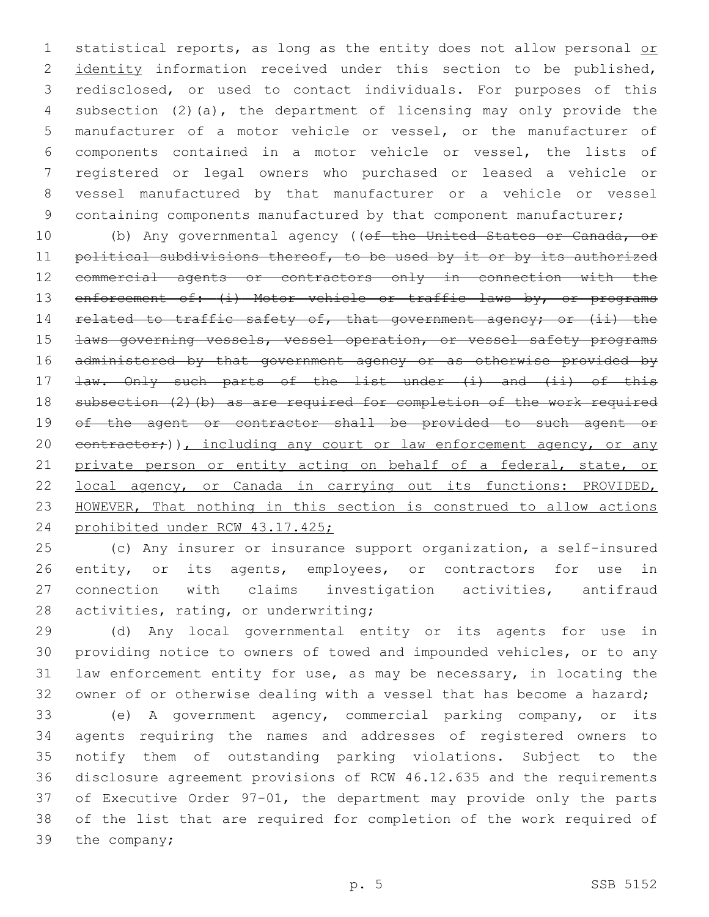1 statistical reports, as long as the entity does not allow personal or 2 identity information received under this section to be published, redisclosed, or used to contact individuals. For purposes of this subsection (2)(a), the department of licensing may only provide the manufacturer of a motor vehicle or vessel, or the manufacturer of components contained in a motor vehicle or vessel, the lists of registered or legal owners who purchased or leased a vehicle or vessel manufactured by that manufacturer or a vehicle or vessel 9 containing components manufactured by that component manufacturer;

10 (b) Any governmental agency ((of the United States or Canada, or 11 political subdivisions thereof, to be used by it or by its authorized commercial agents or contractors only in connection with the 13 enforcement of: (i) Motor vehicle or traffic laws by, or programs 14 related to traffic safety of, that government agency; or (ii) the **Laws governing vessels, vessel operation, or vessel safety programs**  administered by that government agency or as otherwise provided by 17 <del>law. Only such parts of the list under (i) and (ii) of this</del> 18 subsection (2)(b) as are required for completion of the work required of the agent or contractor shall be provided to such agent or 20 contractor;)), including any court or law enforcement agency, or any 21 private person or entity acting on behalf of a federal, state, or local agency, or Canada in carrying out its functions: PROVIDED, HOWEVER, That nothing in this section is construed to allow actions prohibited under RCW 43.17.425;

 (c) Any insurer or insurance support organization, a self-insured 26 entity, or its agents, employees, or contractors for use in connection with claims investigation activities, antifraud 28 activities, rating, or underwriting;

 (d) Any local governmental entity or its agents for use in providing notice to owners of towed and impounded vehicles, or to any law enforcement entity for use, as may be necessary, in locating the owner of or otherwise dealing with a vessel that has become a hazard;

 (e) A government agency, commercial parking company, or its agents requiring the names and addresses of registered owners to notify them of outstanding parking violations. Subject to the disclosure agreement provisions of RCW 46.12.635 and the requirements of Executive Order 97-01, the department may provide only the parts of the list that are required for completion of the work required of 39 the company;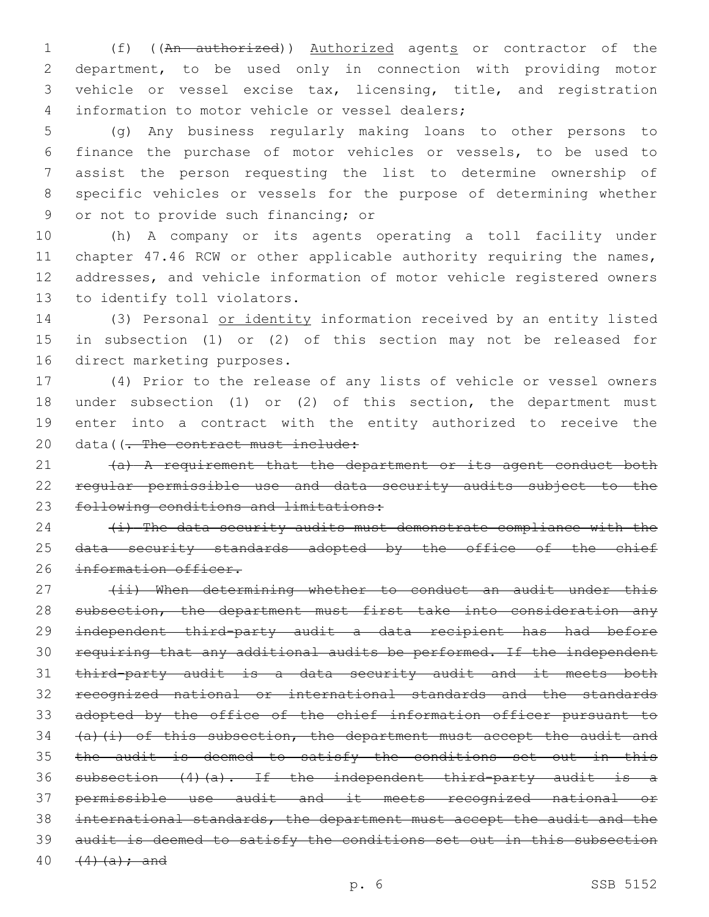1 (f) ((An authorized)) Authorized agents or contractor of the department, to be used only in connection with providing motor vehicle or vessel excise tax, licensing, title, and registration 4 information to motor vehicle or vessel dealers;

 (g) Any business regularly making loans to other persons to finance the purchase of motor vehicles or vessels, to be used to assist the person requesting the list to determine ownership of specific vehicles or vessels for the purpose of determining whether 9 or not to provide such financing; or

 (h) A company or its agents operating a toll facility under 11 chapter 47.46 RCW or other applicable authority requiring the names, addresses, and vehicle information of motor vehicle registered owners 13 to identify toll violators.

 (3) Personal or identity information received by an entity listed in subsection (1) or (2) of this section may not be released for 16 direct marketing purposes.

 (4) Prior to the release of any lists of vehicle or vessel owners under subsection (1) or (2) of this section, the department must enter into a contract with the entity authorized to receive the 20 data((- The contract must include:

21 (a) A requirement that the department or its agent conduct both regular permissible use and data security audits subject to the 23 following conditions and limitations:

  $\leftrightarrow$  The data security audits must demonstrate compliance with the 25 data security standards adopted by the office of the chief 26 information officer.

27 (ii) When determining whether to conduct an audit under this 28 subsection, the department must first take into consideration any independent third-party audit a data recipient has had before requiring that any additional audits be performed. If the independent third-party audit is a data security audit and it meets both recognized national or international standards and the standards adopted by the office of the chief information officer pursuant to  $(a)$   $(i)$  of this subsection, the department must accept the audit and 35 the audit is deemed to satisfy the conditions set out in this subsection (4)(a). If the independent third-party audit is a permissible use audit and it meets recognized national or international standards, the department must accept the audit and the audit is deemed to satisfy the conditions set out in this subsection  $(4)(a);$  and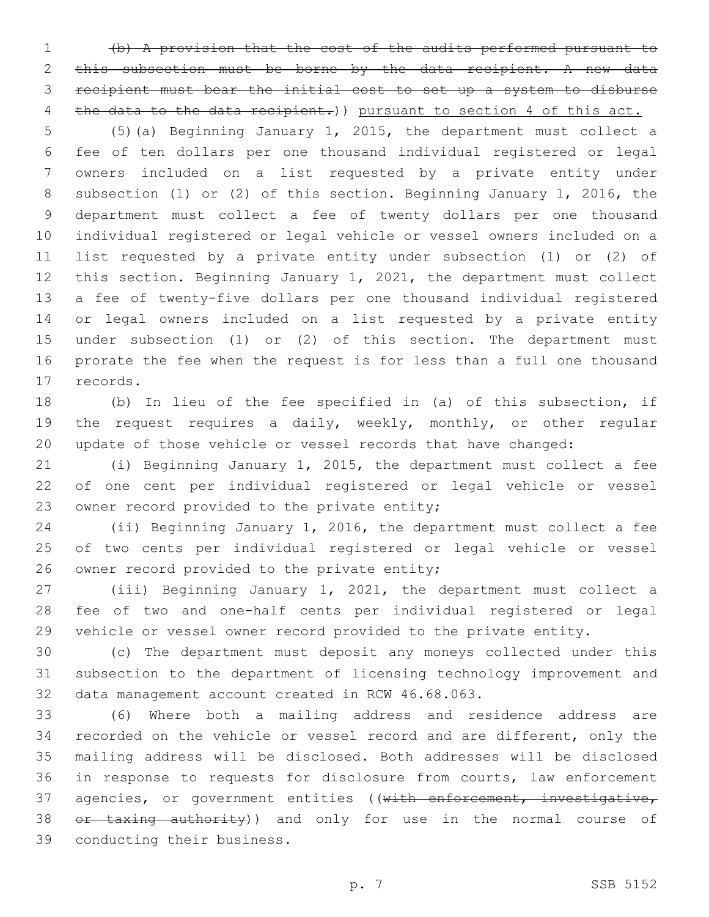(b) A provision that the cost of the audits performed pursuant to this subsection must be borne by the data recipient. A new data recipient must bear the initial cost to set up a system to disburse 4 the data to the data recipient.) pursuant to section 4 of this act.

 (5)(a) Beginning January 1, 2015, the department must collect a fee of ten dollars per one thousand individual registered or legal owners included on a list requested by a private entity under subsection (1) or (2) of this section. Beginning January 1, 2016, the department must collect a fee of twenty dollars per one thousand individual registered or legal vehicle or vessel owners included on a list requested by a private entity under subsection (1) or (2) of this section. Beginning January 1, 2021, the department must collect a fee of twenty-five dollars per one thousand individual registered or legal owners included on a list requested by a private entity under subsection (1) or (2) of this section. The department must prorate the fee when the request is for less than a full one thousand 17 records.

 (b) In lieu of the fee specified in (a) of this subsection, if the request requires a daily, weekly, monthly, or other regular update of those vehicle or vessel records that have changed:

 (i) Beginning January 1, 2015, the department must collect a fee of one cent per individual registered or legal vehicle or vessel 23 owner record provided to the private entity;

 (ii) Beginning January 1, 2016, the department must collect a fee of two cents per individual registered or legal vehicle or vessel 26 owner record provided to the private entity;

 (iii) Beginning January 1, 2021, the department must collect a fee of two and one-half cents per individual registered or legal vehicle or vessel owner record provided to the private entity.

 (c) The department must deposit any moneys collected under this subsection to the department of licensing technology improvement and 32 data management account created in RCW 46.68.063.

 (6) Where both a mailing address and residence address are recorded on the vehicle or vessel record and are different, only the mailing address will be disclosed. Both addresses will be disclosed in response to requests for disclosure from courts, law enforcement 37 agencies, or government entities ((with enforcement, investigative, 38 or taxing authority)) and only for use in the normal course of 39 conducting their business.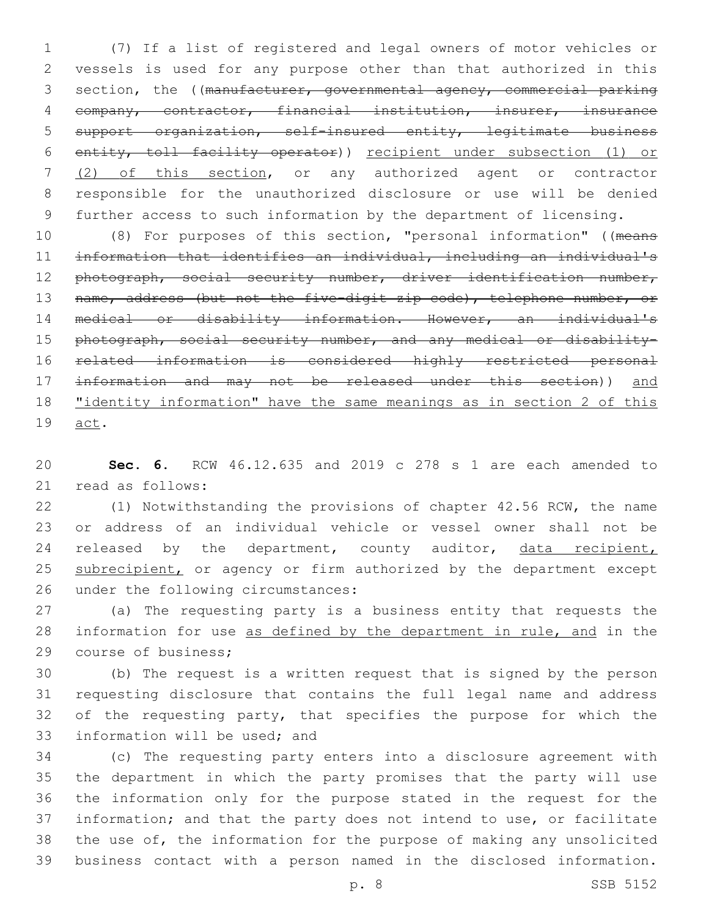(7) If a list of registered and legal owners of motor vehicles or vessels is used for any purpose other than that authorized in this 3 section, the ((manufacturer, governmental agency, commercial parking company, contractor, financial institution, insurer, insurance support organization, self-insured entity, legitimate business entity, toll facility operator)) recipient under subsection (1) or (2) of this section, or any authorized agent or contractor responsible for the unauthorized disclosure or use will be denied further access to such information by the department of licensing.

 (8) For purposes of this section, "personal information" ((means information that identifies an individual, including an individual's 12 photograph, social security number, driver identification number, 13 name, address (but not the five-digit zip code), telephone number, or medical or disability information. However, an individual's 15 photograph, social security number, and any medical or disability- related information is considered highly restricted personal information and may not be released under this section)) and "identity information" have the same meanings as in section 2 of this 19 act.

 **Sec. 6.** RCW 46.12.635 and 2019 c 278 s 1 are each amended to 21 read as follows:

 (1) Notwithstanding the provisions of chapter 42.56 RCW, the name or address of an individual vehicle or vessel owner shall not be 24 released by the department, county auditor, data recipient, 25 subrecipient, or agency or firm authorized by the department except 26 under the following circumstances:

 (a) The requesting party is a business entity that requests the information for use as defined by the department in rule, and in the 29 course of business;

 (b) The request is a written request that is signed by the person requesting disclosure that contains the full legal name and address 32 of the requesting party, that specifies the purpose for which the 33 information will be used; and

 (c) The requesting party enters into a disclosure agreement with the department in which the party promises that the party will use the information only for the purpose stated in the request for the information; and that the party does not intend to use, or facilitate the use of, the information for the purpose of making any unsolicited business contact with a person named in the disclosed information.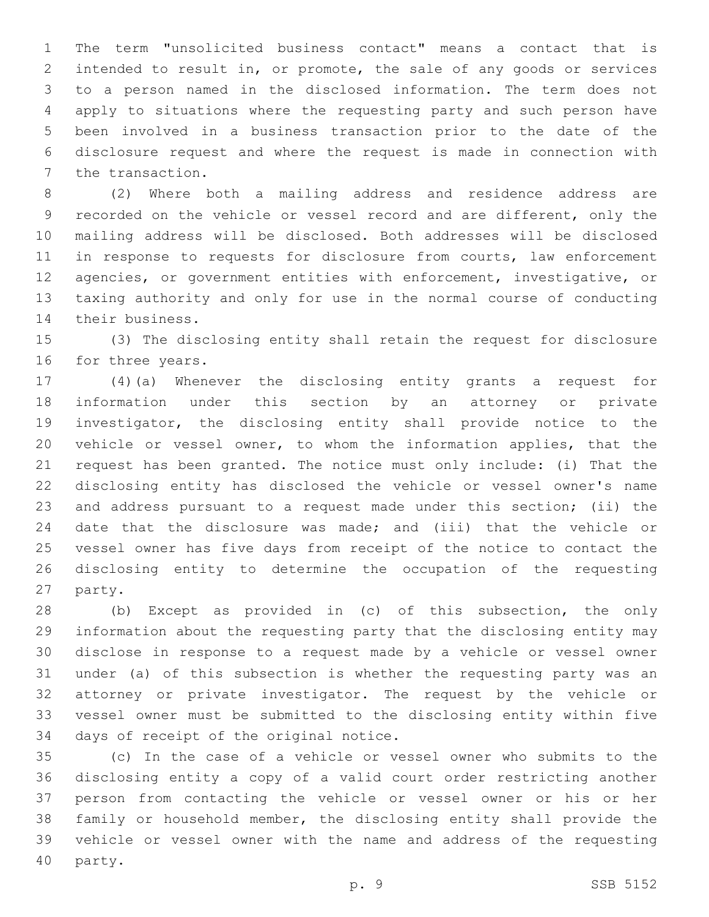The term "unsolicited business contact" means a contact that is intended to result in, or promote, the sale of any goods or services to a person named in the disclosed information. The term does not apply to situations where the requesting party and such person have been involved in a business transaction prior to the date of the disclosure request and where the request is made in connection with 7 the transaction.

 (2) Where both a mailing address and residence address are recorded on the vehicle or vessel record and are different, only the mailing address will be disclosed. Both addresses will be disclosed 11 in response to requests for disclosure from courts, law enforcement agencies, or government entities with enforcement, investigative, or taxing authority and only for use in the normal course of conducting 14 their business.

 (3) The disclosing entity shall retain the request for disclosure 16 for three years.

 (4)(a) Whenever the disclosing entity grants a request for information under this section by an attorney or private investigator, the disclosing entity shall provide notice to the vehicle or vessel owner, to whom the information applies, that the request has been granted. The notice must only include: (i) That the disclosing entity has disclosed the vehicle or vessel owner's name and address pursuant to a request made under this section; (ii) the date that the disclosure was made; and (iii) that the vehicle or vessel owner has five days from receipt of the notice to contact the disclosing entity to determine the occupation of the requesting 27 party.

 (b) Except as provided in (c) of this subsection, the only information about the requesting party that the disclosing entity may disclose in response to a request made by a vehicle or vessel owner under (a) of this subsection is whether the requesting party was an attorney or private investigator. The request by the vehicle or vessel owner must be submitted to the disclosing entity within five 34 days of receipt of the original notice.

 (c) In the case of a vehicle or vessel owner who submits to the disclosing entity a copy of a valid court order restricting another person from contacting the vehicle or vessel owner or his or her family or household member, the disclosing entity shall provide the vehicle or vessel owner with the name and address of the requesting 40 party.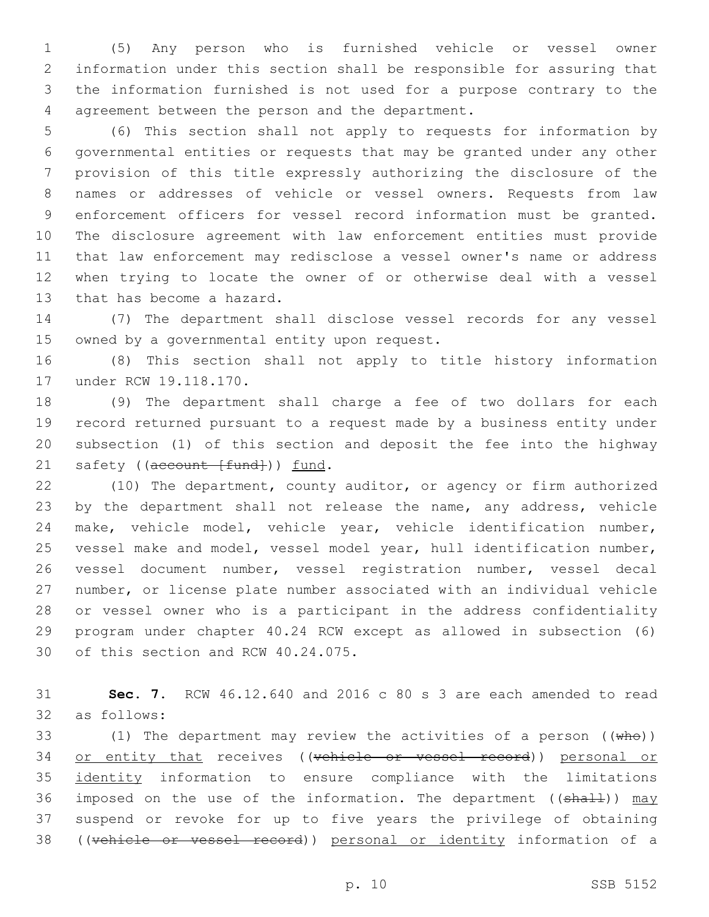(5) Any person who is furnished vehicle or vessel owner information under this section shall be responsible for assuring that the information furnished is not used for a purpose contrary to the 4 agreement between the person and the department.

 (6) This section shall not apply to requests for information by governmental entities or requests that may be granted under any other provision of this title expressly authorizing the disclosure of the names or addresses of vehicle or vessel owners. Requests from law enforcement officers for vessel record information must be granted. The disclosure agreement with law enforcement entities must provide that law enforcement may redisclose a vessel owner's name or address when trying to locate the owner of or otherwise deal with a vessel 13 that has become a hazard.

 (7) The department shall disclose vessel records for any vessel 15 owned by a governmental entity upon request.

 (8) This section shall not apply to title history information 17 under RCW 19.118.170.

 (9) The department shall charge a fee of two dollars for each record returned pursuant to a request made by a business entity under subsection (1) of this section and deposit the fee into the highway 21 safety ((account [fund])) fund.

 (10) The department, county auditor, or agency or firm authorized 23 by the department shall not release the name, any address, vehicle make, vehicle model, vehicle year, vehicle identification number, vessel make and model, vessel model year, hull identification number, vessel document number, vessel registration number, vessel decal number, or license plate number associated with an individual vehicle or vessel owner who is a participant in the address confidentiality program under chapter 40.24 RCW except as allowed in subsection (6) 30 of this section and RCW 40.24.075.

 **Sec. 7.** RCW 46.12.640 and 2016 c 80 s 3 are each amended to read as follows:32

33 (1) The department may review the activities of a person  $((\text{whe}))$ 34 or entity that receives ((vehicle or vessel record)) personal or identity information to ensure compliance with the limitations 36 imposed on the use of the information. The department ( $(\text{shall})$ ) may suspend or revoke for up to five years the privilege of obtaining ((vehicle or vessel record)) personal or identity information of a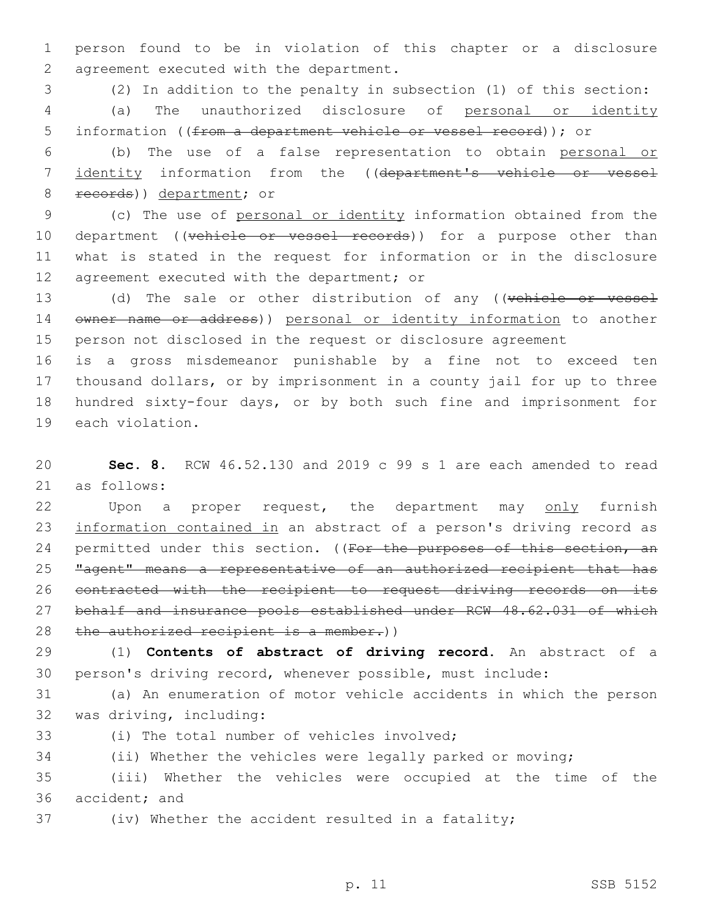1 person found to be in violation of this chapter or a disclosure 2 agreement executed with the department.

3 (2) In addition to the penalty in subsection (1) of this section: 4 (a) The unauthorized disclosure of personal or identity 5 information ((from a department vehicle or vessel record)); or

6 (b) The use of a false representation to obtain personal or 7 identity information from the ((department's vehicle or vessel 8 records)) department; or

9 (c) The use of personal or identity information obtained from the 10 department ((vehicle or vessel records)) for a purpose other than 11 what is stated in the request for information or in the disclosure 12 agreement executed with the department; or

13 (d) The sale or other distribution of any ((vehicle or vessel 14 owner name or address)) personal or identity information to another 15 person not disclosed in the request or disclosure agreement

 is a gross misdemeanor punishable by a fine not to exceed ten thousand dollars, or by imprisonment in a county jail for up to three hundred sixty-four days, or by both such fine and imprisonment for 19 each violation.

20 **Sec. 8.** RCW 46.52.130 and 2019 c 99 s 1 are each amended to read 21 as follows:

22 Upon a proper request, the department may only furnish 23 information contained in an abstract of a person's driving record as 24 permitted under this section. ((For the purposes of this section, an 25 "agent" means a representative of an authorized recipient that has 26 contracted with the recipient to request driving records on its 27 behalf and insurance pools established under RCW 48.62.031 of which 28 the authorized recipient is a member.))

29 (1) **Contents of abstract of driving record.** An abstract of a 30 person's driving record, whenever possible, must include:

31 (a) An enumeration of motor vehicle accidents in which the person 32 was driving, including:

(i) The total number of vehicles involved;

34 (ii) Whether the vehicles were legally parked or moving;

35 (iii) Whether the vehicles were occupied at the time of the 36 accident; and

37 (iv) Whether the accident resulted in a fatality;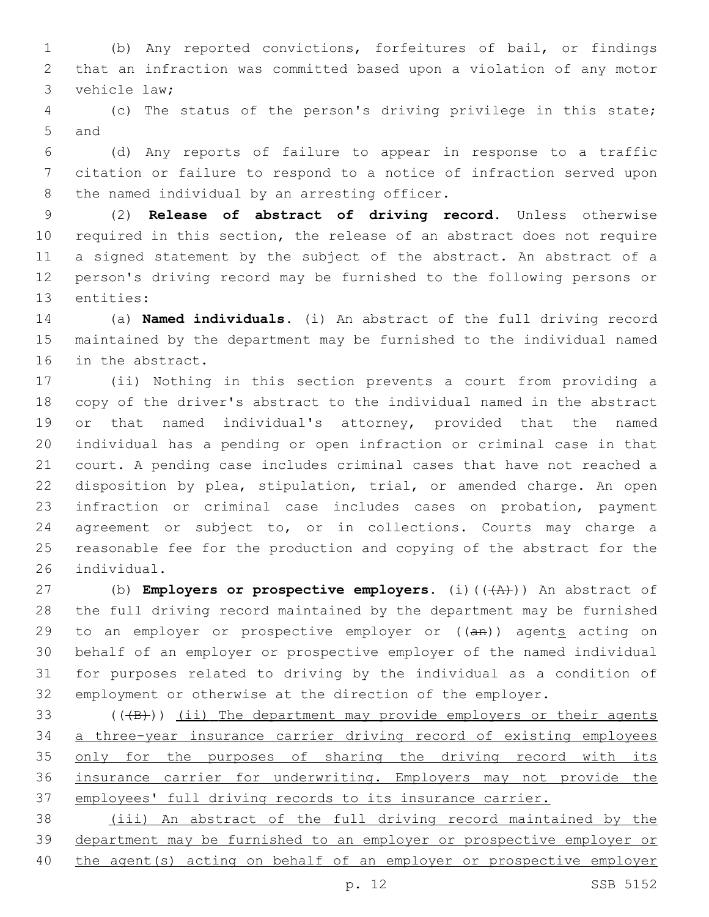(b) Any reported convictions, forfeitures of bail, or findings that an infraction was committed based upon a violation of any motor 3 vehicle law;

 (c) The status of the person's driving privilege in this state; 5 and

 (d) Any reports of failure to appear in response to a traffic citation or failure to respond to a notice of infraction served upon 8 the named individual by an arresting officer.

 (2) **Release of abstract of driving record.** Unless otherwise required in this section, the release of an abstract does not require a signed statement by the subject of the abstract. An abstract of a person's driving record may be furnished to the following persons or 13 entities:

 (a) **Named individuals.** (i) An abstract of the full driving record maintained by the department may be furnished to the individual named 16 in the abstract.

 (ii) Nothing in this section prevents a court from providing a copy of the driver's abstract to the individual named in the abstract or that named individual's attorney, provided that the named individual has a pending or open infraction or criminal case in that court. A pending case includes criminal cases that have not reached a disposition by plea, stipulation, trial, or amended charge. An open infraction or criminal case includes cases on probation, payment agreement or subject to, or in collections. Courts may charge a reasonable fee for the production and copying of the abstract for the 26 individual.

27 (b) **Employers or prospective employers.** (i)(( $\overline{(A)'}$ )) An abstract of the full driving record maintained by the department may be furnished 29 to an employer or prospective employer or  $((a + b))$  agents acting on behalf of an employer or prospective employer of the named individual for purposes related to driving by the individual as a condition of employment or otherwise at the direction of the employer.

 $($  ( $($  $+$ B $)$ )  $($ ii) The department may provide employers or their agents a three-year insurance carrier driving record of existing employees 35 only for the purposes of sharing the driving record with its insurance carrier for underwriting. Employers may not provide the employees' full driving records to its insurance carrier.

 (iii) An abstract of the full driving record maintained by the department may be furnished to an employer or prospective employer or the agent(s) acting on behalf of an employer or prospective employer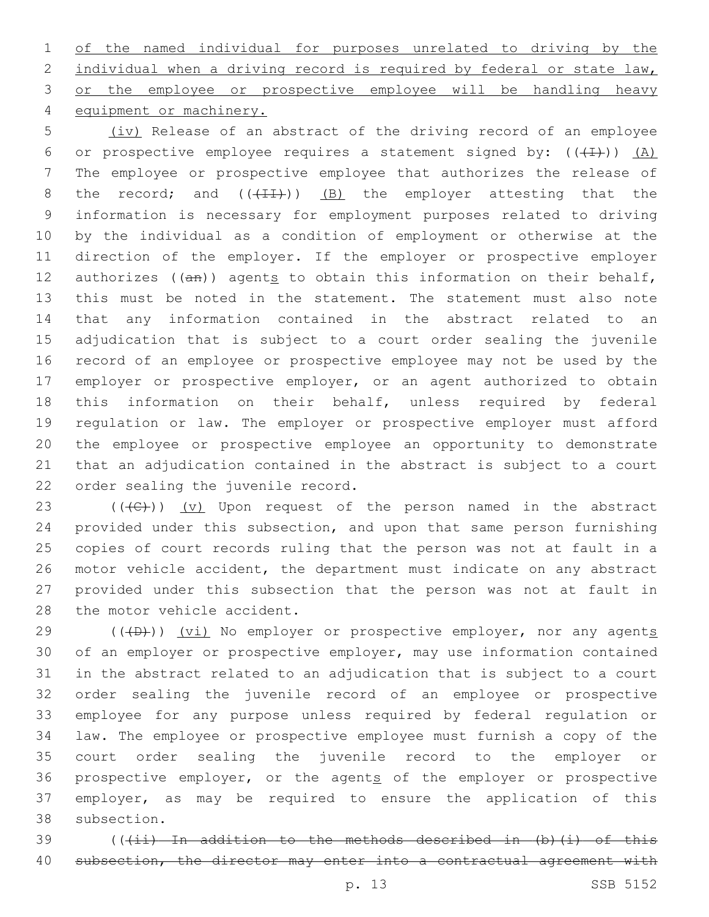of the named individual for purposes unrelated to driving by the 2 individual when a driving record is required by federal or state law, 3 or the employee or prospective employee will be handling heavy 4 equipment or machinery.

 (iv) Release of an abstract of the driving record of an employee 6 or prospective employee requires a statement signed by:  $((+1))$   $(A)$  The employee or prospective employee that authorizes the release of 8 the record; and  $((+11))$  (B) the employer attesting that the information is necessary for employment purposes related to driving by the individual as a condition of employment or otherwise at the direction of the employer. If the employer or prospective employer 12 authorizes  $((an))$  agents to obtain this information on their behalf, this must be noted in the statement. The statement must also note that any information contained in the abstract related to an adjudication that is subject to a court order sealing the juvenile record of an employee or prospective employee may not be used by the employer or prospective employer, or an agent authorized to obtain this information on their behalf, unless required by federal regulation or law. The employer or prospective employer must afford the employee or prospective employee an opportunity to demonstrate that an adjudication contained in the abstract is subject to a court 22 order sealing the juvenile record.

23 ( $(\overline{C})$ ) (v) Upon request of the person named in the abstract provided under this subsection, and upon that same person furnishing copies of court records ruling that the person was not at fault in a motor vehicle accident, the department must indicate on any abstract provided under this subsection that the person was not at fault in 28 the motor vehicle accident.

 $(1 + D)$ ) (vi) No employer or prospective employer, nor any agents of an employer or prospective employer, may use information contained in the abstract related to an adjudication that is subject to a court order sealing the juvenile record of an employee or prospective employee for any purpose unless required by federal regulation or law. The employee or prospective employee must furnish a copy of the court order sealing the juvenile record to the employer or 36 prospective employer, or the agents of the employer or prospective employer, as may be required to ensure the application of this 38 subsection.

39 (((ii) In addition to the methods described in (b)(i) of this 40 subsection, the director may enter into a contractual agreement with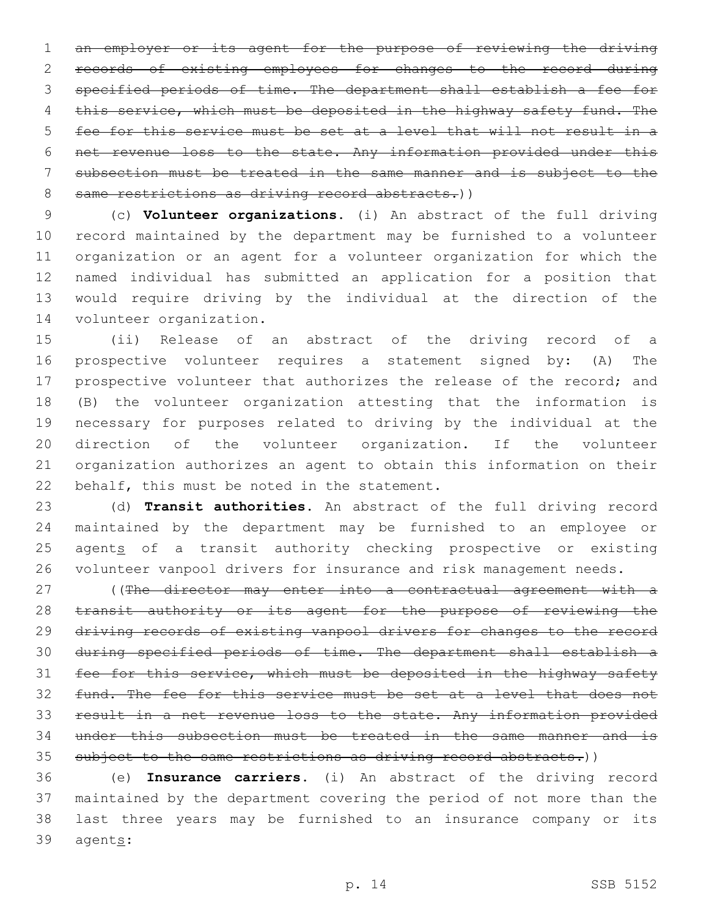an employer or its agent for the purpose of reviewing the driving records of existing employees for changes to the record during specified periods of time. The department shall establish a fee for 4 this service, which must be deposited in the highway safety fund. The fee for this service must be set at a level that will not result in a net revenue loss to the state. Any information provided under this subsection must be treated in the same manner and is subject to the 8 same restrictions as driving record abstracts.))

 (c) **Volunteer organizations.** (i) An abstract of the full driving record maintained by the department may be furnished to a volunteer organization or an agent for a volunteer organization for which the named individual has submitted an application for a position that would require driving by the individual at the direction of the 14 volunteer organization.

 (ii) Release of an abstract of the driving record of a prospective volunteer requires a statement signed by: (A) The prospective volunteer that authorizes the release of the record; and (B) the volunteer organization attesting that the information is necessary for purposes related to driving by the individual at the direction of the volunteer organization. If the volunteer organization authorizes an agent to obtain this information on their 22 behalf, this must be noted in the statement.

 (d) **Transit authorities.** An abstract of the full driving record maintained by the department may be furnished to an employee or 25 agents of a transit authority checking prospective or existing volunteer vanpool drivers for insurance and risk management needs.

27 ((The director may enter into a contractual agreement with a 28 transit authority or its agent for the purpose of reviewing the driving records of existing vanpool drivers for changes to the record during specified periods of time. The department shall establish a 31 fee for this service, which must be deposited in the highway safety fund. The fee for this service must be set at a level that does not result in a net revenue loss to the state. Any information provided under this subsection must be treated in the same manner and is 35 subject to the same restrictions as driving record abstracts.))

 (e) **Insurance carriers.** (i) An abstract of the driving record maintained by the department covering the period of not more than the last three years may be furnished to an insurance company or its 39 agents: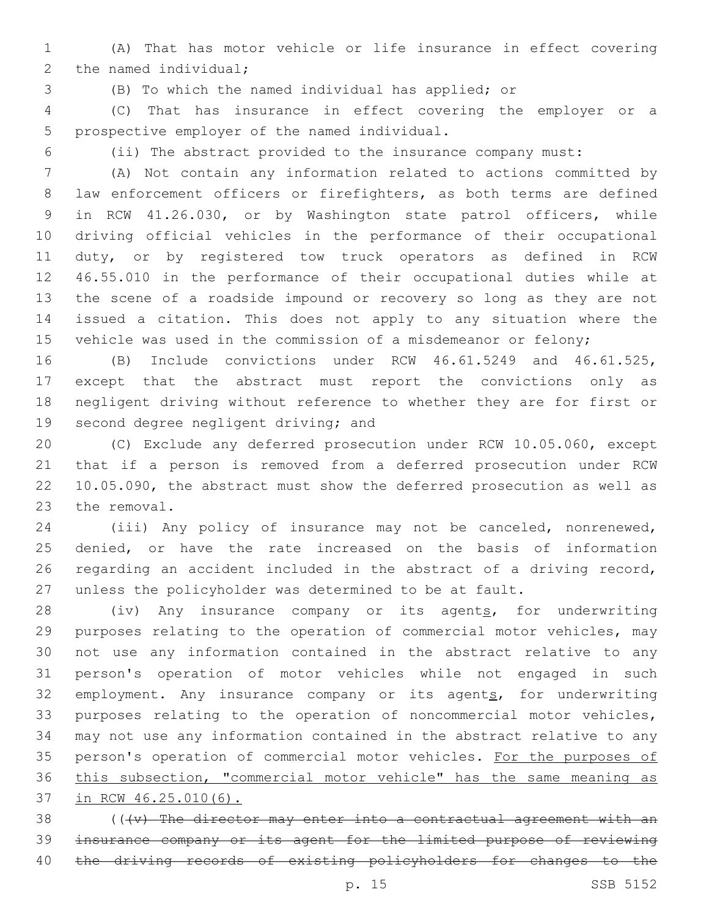(A) That has motor vehicle or life insurance in effect covering 2 the named individual;

(B) To which the named individual has applied; or

 (C) That has insurance in effect covering the employer or a 5 prospective employer of the named individual.

(ii) The abstract provided to the insurance company must:

 (A) Not contain any information related to actions committed by 8 law enforcement officers or firefighters, as both terms are defined in RCW 41.26.030, or by Washington state patrol officers, while driving official vehicles in the performance of their occupational duty, or by registered tow truck operators as defined in RCW 46.55.010 in the performance of their occupational duties while at the scene of a roadside impound or recovery so long as they are not issued a citation. This does not apply to any situation where the 15 vehicle was used in the commission of a misdemeanor or felony;

 (B) Include convictions under RCW 46.61.5249 and 46.61.525, except that the abstract must report the convictions only as negligent driving without reference to whether they are for first or 19 second degree negligent driving; and

 (C) Exclude any deferred prosecution under RCW 10.05.060, except that if a person is removed from a deferred prosecution under RCW 10.05.090, the abstract must show the deferred prosecution as well as 23 the removal.

 (iii) Any policy of insurance may not be canceled, nonrenewed, denied, or have the rate increased on the basis of information regarding an accident included in the abstract of a driving record, unless the policyholder was determined to be at fault.

28 (iv) Any insurance company or its agents, for underwriting purposes relating to the operation of commercial motor vehicles, may not use any information contained in the abstract relative to any person's operation of motor vehicles while not engaged in such 32 employment. Any insurance company or its agents, for underwriting purposes relating to the operation of noncommercial motor vehicles, may not use any information contained in the abstract relative to any 35 person's operation of commercial motor vehicles. For the purposes of this subsection, "commercial motor vehicle" has the same meaning as in RCW 46.25.010(6).

 (( $\{v\}$  The director may enter into a contractual agreement with an insurance company or its agent for the limited purpose of reviewing 40 the driving records of existing policyholders for changes to the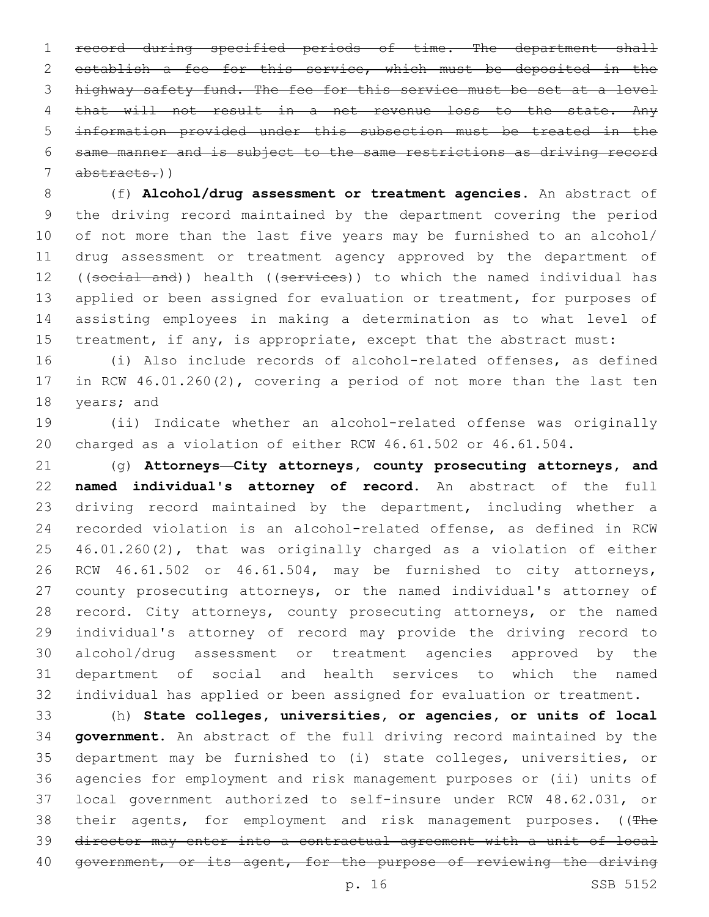record during specified periods of time. The department shall establish a fee for this service, which must be deposited in the highway safety fund. The fee for this service must be set at a level 4 that will not result in a net revenue loss to the state. Any information provided under this subsection must be treated in the same manner and is subject to the same restrictions as driving record abstracts.))

 (f) **Alcohol/drug assessment or treatment agencies.** An abstract of the driving record maintained by the department covering the period of not more than the last five years may be furnished to an alcohol/ drug assessment or treatment agency approved by the department of 12 ((social and)) health ((services)) to which the named individual has 13 applied or been assigned for evaluation or treatment, for purposes of assisting employees in making a determination as to what level of 15 treatment, if any, is appropriate, except that the abstract must:

 (i) Also include records of alcohol-related offenses, as defined in RCW 46.01.260(2), covering a period of not more than the last ten 18 years; and

 (ii) Indicate whether an alcohol-related offense was originally charged as a violation of either RCW 46.61.502 or 46.61.504.

 (g) **Attorneys—City attorneys, county prosecuting attorneys, and named individual's attorney of record.** An abstract of the full 23 driving record maintained by the department, including whether a recorded violation is an alcohol-related offense, as defined in RCW 46.01.260(2), that was originally charged as a violation of either RCW 46.61.502 or 46.61.504, may be furnished to city attorneys, county prosecuting attorneys, or the named individual's attorney of 28 record. City attorneys, county prosecuting attorneys, or the named individual's attorney of record may provide the driving record to alcohol/drug assessment or treatment agencies approved by the department of social and health services to which the named individual has applied or been assigned for evaluation or treatment.

 (h) **State colleges, universities, or agencies, or units of local government.** An abstract of the full driving record maintained by the department may be furnished to (i) state colleges, universities, or agencies for employment and risk management purposes or (ii) units of local government authorized to self-insure under RCW 48.62.031, or 38 their agents, for employment and risk management purposes. ((The director may enter into a contractual agreement with a unit of local 40 government, or its agent, for the purpose of reviewing the driving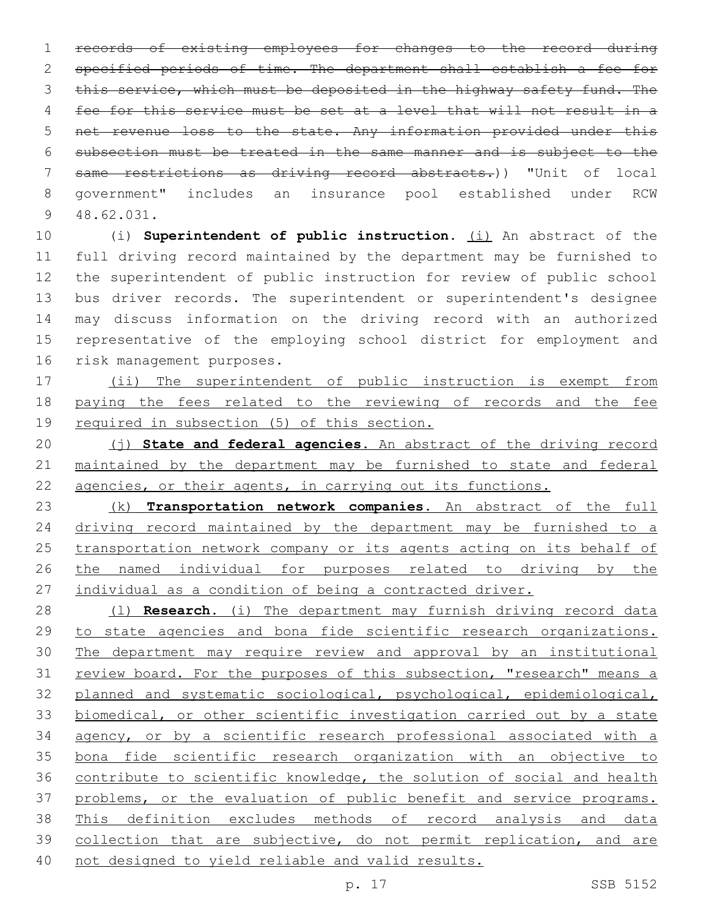records of existing employees for changes to the record during specified periods of time. The department shall establish a fee for 3 this service, which must be deposited in the highway safety fund. The fee for this service must be set at a level that will not result in a net revenue loss to the state. Any information provided under this subsection must be treated in the same manner and is subject to the same restrictions as driving record abstracts.)) "Unit of local government" includes an insurance pool established under RCW 48.62.031.9

 (i) **Superintendent of public instruction.** (i) An abstract of the full driving record maintained by the department may be furnished to the superintendent of public instruction for review of public school bus driver records. The superintendent or superintendent's designee may discuss information on the driving record with an authorized representative of the employing school district for employment and 16 risk management purposes.

 (ii) The superintendent of public instruction is exempt from paying the fees related to the reviewing of records and the fee required in subsection (5) of this section.

 (j) **State and federal agencies.** An abstract of the driving record maintained by the department may be furnished to state and federal 22 agencies, or their agents, in carrying out its functions.

 (k) **Transportation network companies.** An abstract of the full 24 driving record maintained by the department may be furnished to a transportation network company or its agents acting on its behalf of the named individual for purposes related to driving by the individual as a condition of being a contracted driver.

 (l) **Research.** (i) The department may furnish driving record data to state agencies and bona fide scientific research organizations. The department may require review and approval by an institutional 31 review board. For the purposes of this subsection, "research" means a planned and systematic sociological, psychological, epidemiological, biomedical, or other scientific investigation carried out by a state agency, or by a scientific research professional associated with a bona fide scientific research organization with an objective to contribute to scientific knowledge, the solution of social and health problems, or the evaluation of public benefit and service programs. This definition excludes methods of record analysis and data collection that are subjective, do not permit replication, and are not designed to yield reliable and valid results.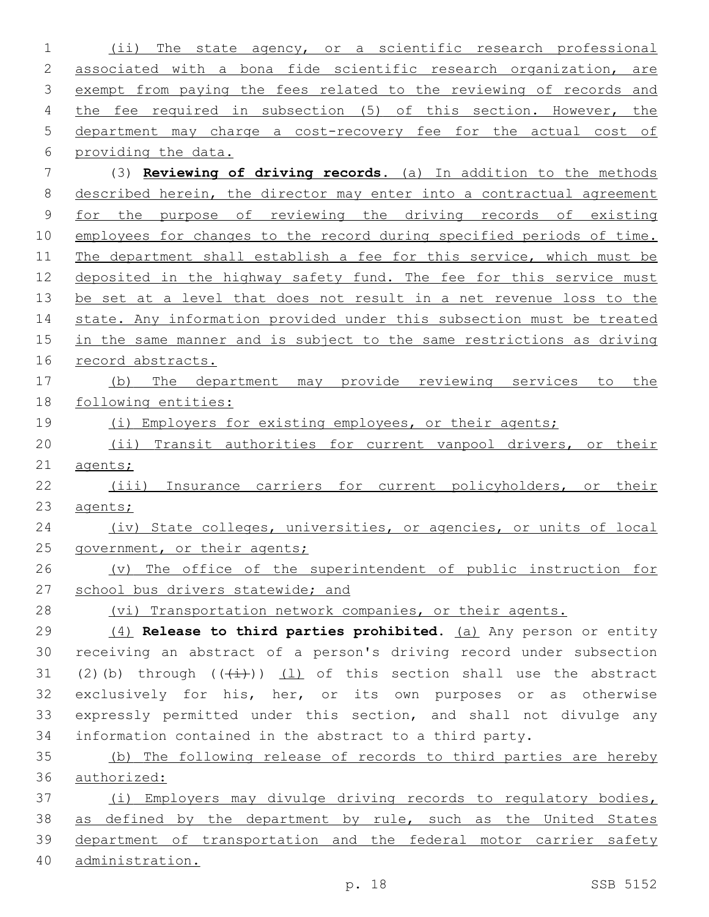(ii) The state agency, or a scientific research professional 2 associated with a bona fide scientific research organization, are 3 exempt from paying the fees related to the reviewing of records and the fee required in subsection (5) of this section. However, the department may charge a cost-recovery fee for the actual cost of providing the data. (3) **Reviewing of driving records.** (a) In addition to the methods described herein, the director may enter into a contractual agreement for the purpose of reviewing the driving records of existing 10 employees for changes to the record during specified periods of time. The department shall establish a fee for this service, which must be deposited in the highway safety fund. The fee for this service must be set at a level that does not result in a net revenue loss to the 14 state. Any information provided under this subsection must be treated 15 in the same manner and is subject to the same restrictions as driving record abstracts. (b) The department may provide reviewing services to the following entities: 19 (i) Employers for existing employees, or their agents; (ii) Transit authorities for current vanpool drivers, or their 21 agents; (iii) Insurance carriers for current policyholders, or their agents; (iv) State colleges, universities, or agencies, or units of local 25 government, or their agents; (v) The office of the superintendent of public instruction for 27 school bus drivers statewide; and (vi) Transportation network companies, or their agents. (4) **Release to third parties prohibited.** (a) Any person or entity receiving an abstract of a person's driving record under subsection 31 (2)(b) through  $((+i+))$  (1) of this section shall use the abstract exclusively for his, her, or its own purposes or as otherwise expressly permitted under this section, and shall not divulge any information contained in the abstract to a third party. (b) The following release of records to third parties are hereby authorized: (i) Employers may divulge driving records to regulatory bodies, 38 as defined by the department by rule, such as the United States department of transportation and the federal motor carrier safety administration.